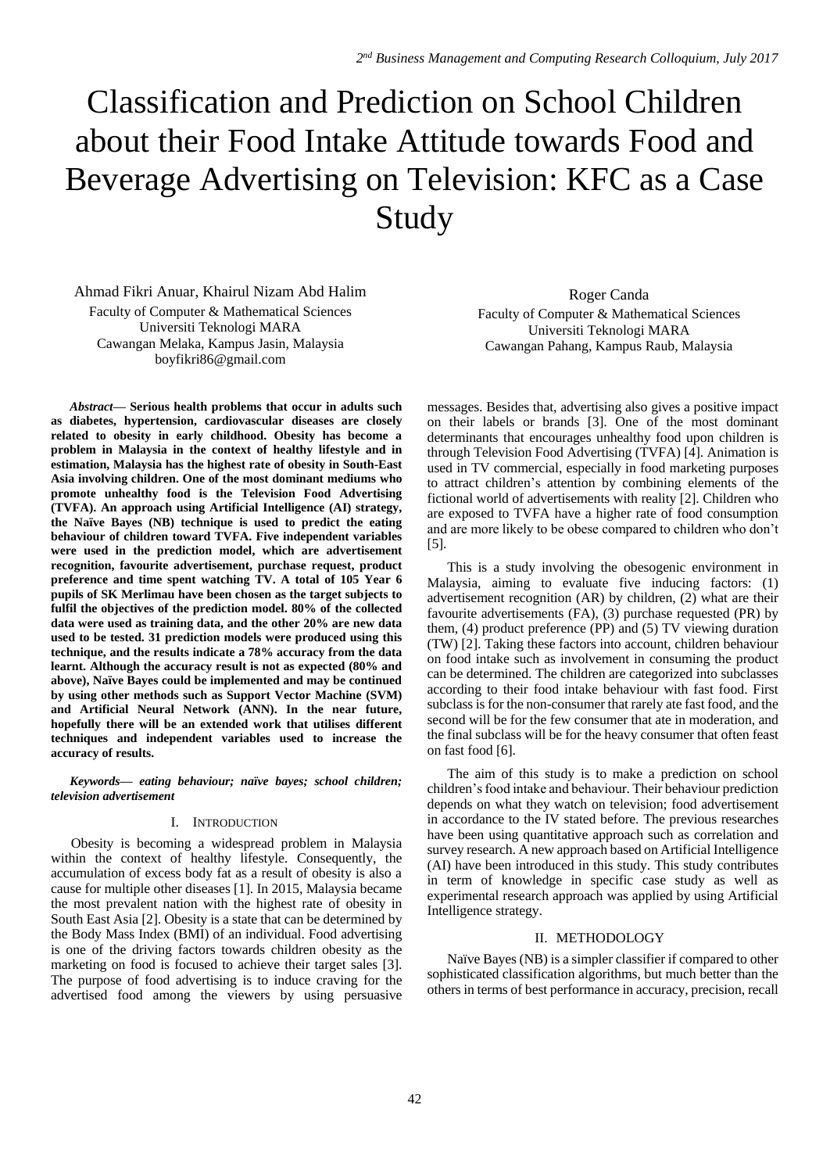# Classification and Prediction on School Children about their Food Intake Attitude towards Food and Beverage Advertising on Television: KFC as a Case Study

Ahmad Fikri Anuar, Khairul Nizam Abd Halim

Faculty of Computer & Mathematical Sciences Universiti Teknologi MARA Cawangan Melaka, Kampus Jasin, Malaysia boyfikri86@gmail.com

*Abstract***— Serious health problems that occur in adults such as diabetes, hypertension, cardiovascular diseases are closely related to obesity in early childhood. Obesity has become a problem in Malaysia in the context of healthy lifestyle and in estimation, Malaysia has the highest rate of obesity in South-East Asia involving children. One of the most dominant mediums who promote unhealthy food is the Television Food Advertising (TVFA). An approach using Artificial Intelligence (AI) strategy, the Naïve Bayes (NB) technique is used to predict the eating behaviour of children toward TVFA. Five independent variables were used in the prediction model, which are advertisement recognition, favourite advertisement, purchase request, product preference and time spent watching TV. A total of 105 Year 6 pupils of SK Merlimau have been chosen as the target subjects to fulfil the objectives of the prediction model. 80% of the collected data were used as training data, and the other 20% are new data used to be tested. 31 prediction models were produced using this technique, and the results indicate a 78% accuracy from the data learnt. Although the accuracy result is not as expected (80% and above), Naïve Bayes could be implemented and may be continued by using other methods such as Support Vector Machine (SVM) and Artificial Neural Network (ANN). In the near future, hopefully there will be an extended work that utilises different techniques and independent variables used to increase the accuracy of results.**

*Keywords— eating behaviour; naïve bayes; school children; television advertisement*

#### I. INTRODUCTION

Obesity is becoming a widespread problem in Malaysia within the context of healthy lifestyle. Consequently, the accumulation of excess body fat as a result of obesity is also a cause for multiple other diseases [1]. In 2015, Malaysia became the most prevalent nation with the highest rate of obesity in South East Asia [2]. Obesity is a state that can be determined by the Body Mass Index (BMI) of an individual. Food advertising is one of the driving factors towards children obesity as the marketing on food is focused to achieve their target sales [3]. The purpose of food advertising is to induce craving for the advertised food among the viewers by using persuasive

Roger Canda Faculty of Computer & Mathematical Sciences Universiti Teknologi MARA Cawangan Pahang, Kampus Raub, Malaysia

messages. Besides that, advertising also gives a positive impact on their labels or brands [3]. One of the most dominant determinants that encourages unhealthy food upon children is through Television Food Advertising (TVFA) [4]. Animation is used in TV commercial, especially in food marketing purposes to attract children's attention by combining elements of the fictional world of advertisements with reality [2]. Children who are exposed to TVFA have a higher rate of food consumption and are more likely to be obese compared to children who don't [5].

This is a study involving the obesogenic environment in Malaysia, aiming to evaluate five inducing factors: (1) advertisement recognition (AR) by children, (2) what are their favourite advertisements (FA), (3) purchase requested (PR) by them, (4) product preference (PP) and (5) TV viewing duration (TW) [2]. Taking these factors into account, children behaviour on food intake such as involvement in consuming the product can be determined. The children are categorized into subclasses according to their food intake behaviour with fast food. First subclass is for the non-consumer that rarely ate fast food, and the second will be for the few consumer that ate in moderation, and the final subclass will be for the heavy consumer that often feast on fast food [6].

The aim of this study is to make a prediction on school children's food intake and behaviour. Their behaviour prediction depends on what they watch on television; food advertisement in accordance to the IV stated before. The previous researches have been using quantitative approach such as correlation and survey research. A new approach based on Artificial Intelligence (AI) have been introduced in this study. This study contributes in term of knowledge in specific case study as well as experimental research approach was applied by using Artificial Intelligence strategy.

## II. METHODOLOGY

Naïve Bayes (NB) is a simpler classifier if compared to other sophisticated classification algorithms, but much better than the others in terms of best performance in accuracy, precision, recall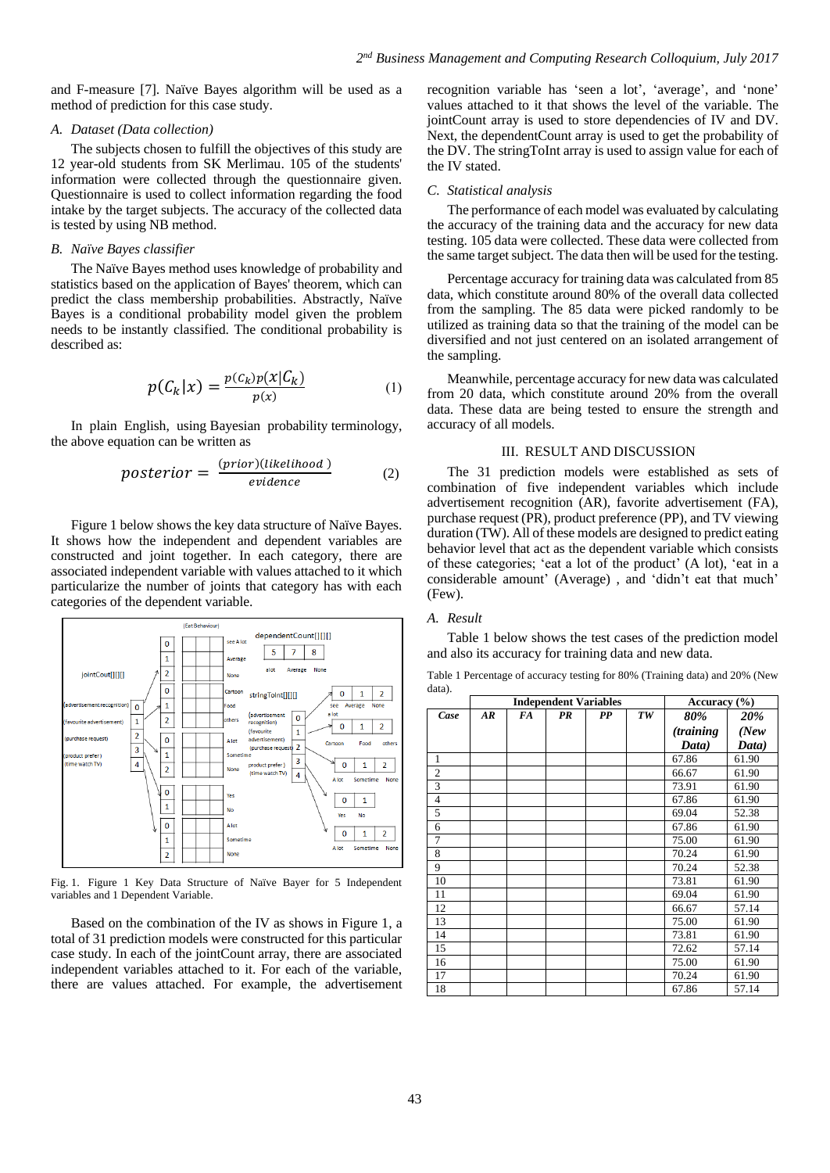and F-measure [7]. Naïve Bayes algorithm will be used as a method of prediction for this case study.

## *A. Dataset (Data collection)*

The subjects chosen to fulfill the objectives of this study are 12 year-old students from SK Merlimau. 105 of the students' information were collected through the questionnaire given. Questionnaire is used to collect information regarding the food intake by the target subjects. The accuracy of the collected data is tested by using NB method.

## *B. Naïve Bayes classifier*

The Naïve Bayes method uses knowledge of probability and statistics based on the application of Bayes' theorem, which can predict the class membership probabilities. Abstractly, Naïve Bayes is a conditional probability model given the problem needs to be instantly classified. The conditional probability is described as:

$$
p(C_k|x) = \frac{p(C_k)p(x|C_k)}{p(x)}
$$
 (1)

In plain English, using Bayesian probability terminology, the above equation can be written as

$$
posterior = \frac{(prior)(likelihood)}{evidence}
$$
 (2)

Figure 1 below shows the key data structure of Naïve Bayes. It shows how the independent and dependent variables are constructed and joint together. In each category, there are associated independent variable with values attached to it which particularize the number of joints that category has with each categories of the dependent variable.



Fig. 1. Figure 1 Key Data Structure of Naïve Bayer for 5 Independent variables and 1 Dependent Variable.

Based on the combination of the IV as shows in Figure 1, a total of 31 prediction models were constructed for this particular case study. In each of the jointCount array, there are associated independent variables attached to it. For each of the variable, there are values attached. For example, the advertisement

recognition variable has 'seen a lot', 'average', and 'none' values attached to it that shows the level of the variable. The jointCount array is used to store dependencies of IV and DV. Next, the dependentCount array is used to get the probability of the DV. The stringToInt array is used to assign value for each of the IV stated.

#### *C. Statistical analysis*

The performance of each model was evaluated by calculating the accuracy of the training data and the accuracy for new data testing. 105 data were collected. These data were collected from the same target subject. The data then will be used for the testing.

Percentage accuracy for training data was calculated from 85 data, which constitute around 80% of the overall data collected from the sampling. The 85 data were picked randomly to be utilized as training data so that the training of the model can be diversified and not just centered on an isolated arrangement of the sampling.

Meanwhile, percentage accuracy for new data was calculated from 20 data, which constitute around 20% from the overall data. These data are being tested to ensure the strength and accuracy of all models.

## III. RESULT AND DISCUSSION

The 31 prediction models were established as sets of combination of five independent variables which include advertisement recognition (AR), favorite advertisement (FA), purchase request (PR), product preference (PP), and TV viewing duration (TW). All of these models are designed to predict eating behavior level that act as the dependent variable which consists of these categories; 'eat a lot of the product' (A lot), 'eat in a considerable amount' (Average) , and 'didn't eat that much' (Few).

## *A. Result*

Table 1 below shows the test cases of the prediction model and also its accuracy for training data and new data.

Table 1 Percentage of accuracy testing for 80% (Training data) and 20% (New data).

|                |    |    | <b>Independent Variables</b> | Accuracy $(\% )$ |    |                  |       |
|----------------|----|----|------------------------------|------------------|----|------------------|-------|
| Case           | AR | FA | PR                           | $_{PP}$          | TW | 80%              | 20%   |
|                |    |    |                              |                  |    | <i>(training</i> | (New) |
|                |    |    |                              |                  |    | Data)            | Data) |
| $\mathbf{1}$   |    |    |                              |                  |    | 67.86            | 61.90 |
| $\overline{c}$ |    |    |                              |                  |    | 66.67            | 61.90 |
| 3              |    |    |                              |                  |    | 73.91            | 61.90 |
| $\overline{4}$ |    |    |                              |                  |    | 67.86            | 61.90 |
| 5              |    |    |                              |                  |    | 69.04            | 52.38 |
| 6              |    |    |                              |                  |    | 67.86            | 61.90 |
| $\overline{7}$ |    |    |                              |                  |    | 75.00            | 61.90 |
| 8              |    |    |                              |                  |    | 70.24            | 61.90 |
| 9              |    |    |                              |                  |    | 70.24            | 52.38 |
| 10             |    |    |                              |                  |    | 73.81            | 61.90 |
| 11             |    |    |                              |                  |    | 69.04            | 61.90 |
| 12             |    |    |                              |                  |    | 66.67            | 57.14 |
| 13             |    |    |                              |                  |    | 75.00            | 61.90 |
| 14             |    |    |                              |                  |    | 73.81            | 61.90 |
| 15             |    |    |                              |                  |    | 72.62            | 57.14 |
| 16             |    |    |                              |                  |    | 75.00            | 61.90 |
| 17             |    |    |                              |                  |    | 70.24            | 61.90 |
| 18             |    |    |                              |                  |    | 67.86            | 57.14 |